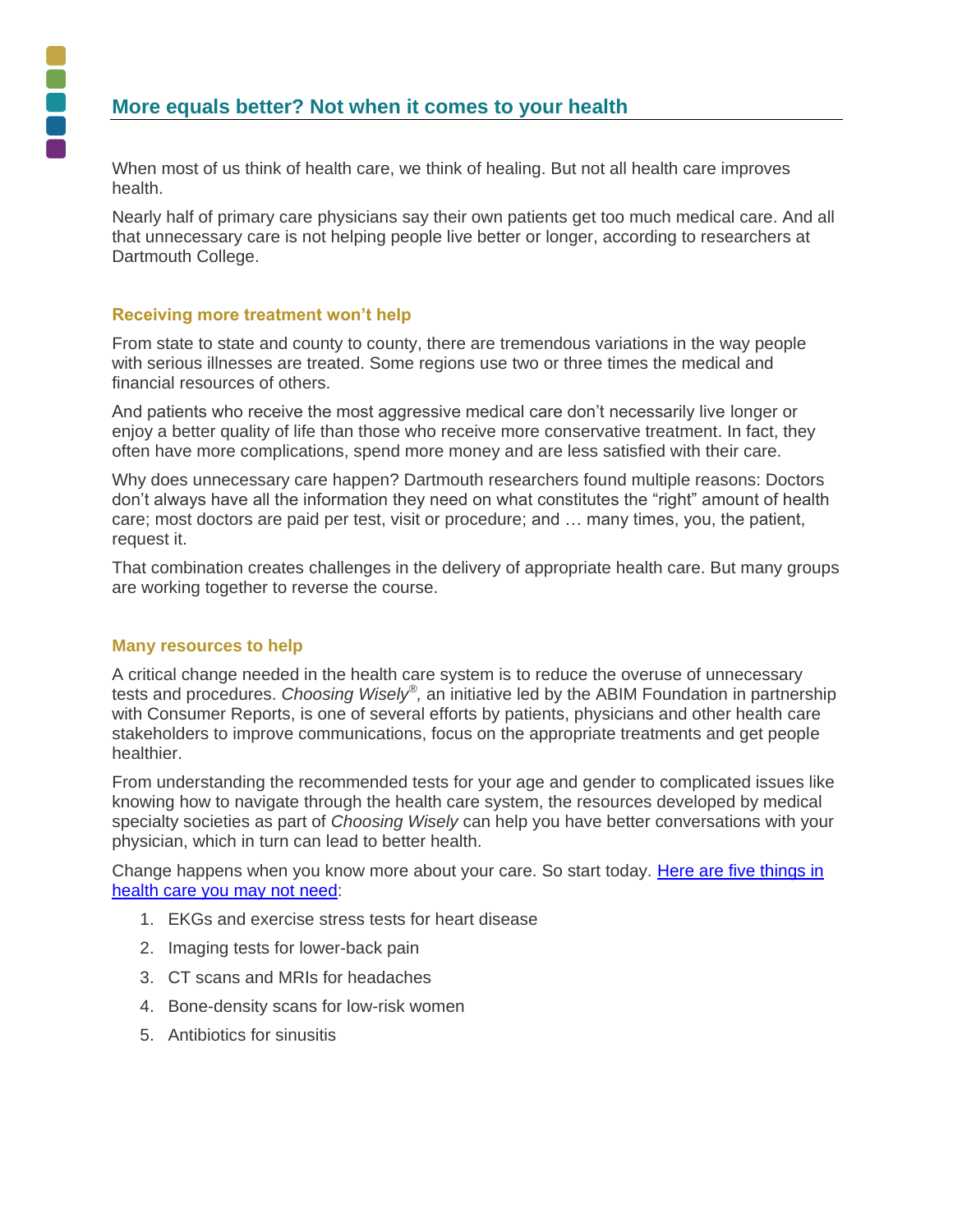When most of us think of health care, we think of healing. But not all health care improves health.

Nearly half of primary care physicians say their own patients get too much medical care. And all that unnecessary care is not helping people live better or longer, according to researchers at Dartmouth College.

## **Receiving more treatment won't help**

From state to state and county to county, there are tremendous variations in the way people with serious illnesses are treated. Some regions use two or three times the medical and financial resources of others.

And patients who receive the most aggressive medical care don't necessarily live longer or enjoy a better quality of life than those who receive more conservative treatment. In fact, they often have more complications, spend more money and are less satisfied with their care.

Why does unnecessary care happen? Dartmouth researchers found multiple reasons: Doctors don't always have all the information they need on what constitutes the "right" amount of health care; most doctors are paid per test, visit or procedure; and … many times, you, the patient, request it.

That combination creates challenges in the delivery of appropriate health care. But many groups are working together to reverse the course.

## **Many resources to help**

A critical change needed in the health care system is to reduce the overuse of unnecessary tests and procedures. *Choosing Wisely® ,* an initiative led by the ABIM Foundation in partnership with Consumer Reports, is one of several efforts by patients, physicians and other health care stakeholders to improve communications, focus on the appropriate treatments and get people healthier.

From understanding the recommended tests for your age and gender to complicated issues like knowing how to navigate through the health care system, the resources developed by medical specialty societies as part of *Choosing Wisely* can help you have better conversations with your physician, which in turn can lead to better health.

Change happens when you know more about your care. So start today. [Here are five](http://consumerhealthchoices.org/catalog/choosing-wisely-when-to-say-whoa-to-doctors/) things in [health care you may not need:](http://consumerhealthchoices.org/catalog/choosing-wisely-when-to-say-whoa-to-doctors/)

- 1. EKGs and exercise stress tests for heart disease
- 2. Imaging tests for lower-back pain
- 3. CT scans and MRIs for headaches
- 4. Bone-density scans for low-risk women
- 5. Antibiotics for sinusitis